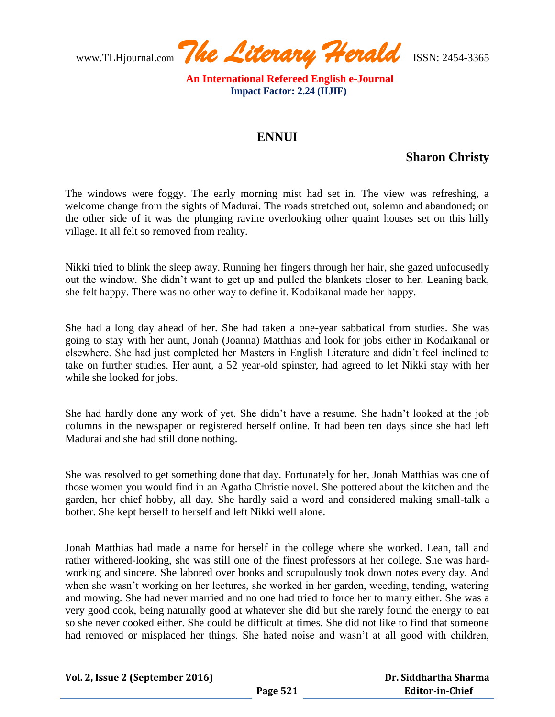www.TLHjournal.com *The Literary Herald*ISSN: 2454-3365

 **An International Refereed English e-Journal Impact Factor: 2.24 (IIJIF)** 

## **ENNUI**

## **Sharon Christy**

The windows were foggy. The early morning mist had set in. The view was refreshing, a welcome change from the sights of Madurai. The roads stretched out, solemn and abandoned; on the other side of it was the plunging ravine overlooking other quaint houses set on this hilly village. It all felt so removed from reality.

Nikki tried to blink the sleep away. Running her fingers through her hair, she gazed unfocusedly out the window. She didn't want to get up and pulled the blankets closer to her. Leaning back, she felt happy. There was no other way to define it. Kodaikanal made her happy.

She had a long day ahead of her. She had taken a one-year sabbatical from studies. She was going to stay with her aunt, Jonah (Joanna) Matthias and look for jobs either in Kodaikanal or elsewhere. She had just completed her Masters in English Literature and didn't feel inclined to take on further studies. Her aunt, a 52 year-old spinster, had agreed to let Nikki stay with her while she looked for jobs.

She had hardly done any work of yet. She didn't have a resume. She hadn't looked at the job columns in the newspaper or registered herself online. It had been ten days since she had left Madurai and she had still done nothing.

She was resolved to get something done that day. Fortunately for her, Jonah Matthias was one of those women you would find in an Agatha Christie novel. She pottered about the kitchen and the garden, her chief hobby, all day. She hardly said a word and considered making small-talk a bother. She kept herself to herself and left Nikki well alone.

Jonah Matthias had made a name for herself in the college where she worked. Lean, tall and rather withered-looking, she was still one of the finest professors at her college. She was hardworking and sincere. She labored over books and scrupulously took down notes every day. And when she wasn't working on her lectures, she worked in her garden, weeding, tending, watering and mowing. She had never married and no one had tried to force her to marry either. She was a very good cook, being naturally good at whatever she did but she rarely found the energy to eat so she never cooked either. She could be difficult at times. She did not like to find that someone had removed or misplaced her things. She hated noise and wasn't at all good with children,